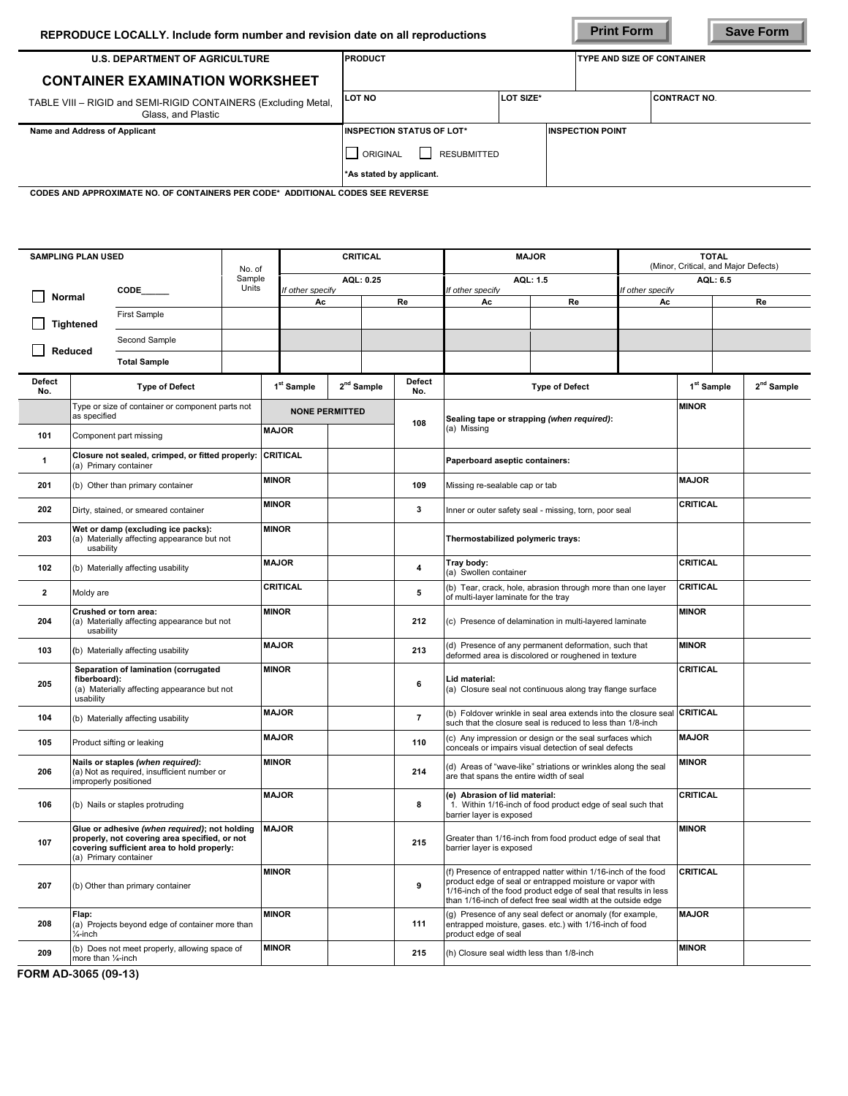| REPRODUCE LOCALLY. Include form number and revision date on all reproductions        | <b>Print Form</b>                                          | <b>Save Form</b> |                                    |                     |
|--------------------------------------------------------------------------------------|------------------------------------------------------------|------------------|------------------------------------|---------------------|
| <b>U.S. DEPARTMENT OF AGRICULTURE</b>                                                | <b>PRODUCT</b>                                             |                  | <b>ITYPE AND SIZE OF CONTAINER</b> |                     |
| <b>CONTAINER EXAMINATION WORKSHEET</b>                                               |                                                            |                  |                                    |                     |
| TABLE VIII - RIGID and SEMI-RIGID CONTAINERS (Excluding Metal,<br>Glass, and Plastic | <b>LOT NO</b>                                              | LOT SIZE*        |                                    | <b>CONTRACT NO.</b> |
| Name and Address of Applicant                                                        | <b>INSPECTION STATUS OF LOT*</b>                           |                  | <b>INSPECTION POINT</b>            |                     |
|                                                                                      | <b>RESUBMITTED</b><br>ORIGINAL<br>*As stated by applicant. |                  |                                    |                     |

 **CODES AND APPROXIMATE NO. OF CONTAINERS PER CODE\* ADDITIONAL CODES SEE REVERSE**

| <b>SAMPLING PLAN USED</b>               |                                                                                                                                                                       |                                               | <b>CRITICAL</b> |                        |                                                  |  | <b>MAJOR</b>         |                              |                                                                                                                                                                                                                                                              | <b>TOTAL</b>                                                                                                                   |                        |                        |  |
|-----------------------------------------|-----------------------------------------------------------------------------------------------------------------------------------------------------------------------|-----------------------------------------------|-----------------|------------------------|--------------------------------------------------|--|----------------------|------------------------------|--------------------------------------------------------------------------------------------------------------------------------------------------------------------------------------------------------------------------------------------------------------|--------------------------------------------------------------------------------------------------------------------------------|------------------------|------------------------|--|
|                                         |                                                                                                                                                                       | No. of<br>Sample                              |                 | AQL: 0.25              |                                                  |  |                      | AQL: 1.5                     | (Minor, Critical, and Major Defects)<br>AQL: 6.5                                                                                                                                                                                                             |                                                                                                                                |                        |                        |  |
| CODE<br>Normal                          |                                                                                                                                                                       | Units                                         |                 | If other specify<br>Ac |                                                  |  | Re                   | If other specify<br>Ac<br>Re |                                                                                                                                                                                                                                                              | If other specifv<br>Ac                                                                                                         |                        | Re                     |  |
| <b>First Sample</b><br><b>Tightened</b> |                                                                                                                                                                       |                                               |                 |                        |                                                  |  |                      |                              |                                                                                                                                                                                                                                                              |                                                                                                                                |                        |                        |  |
| Second Sample                           |                                                                                                                                                                       |                                               |                 |                        |                                                  |  |                      |                              |                                                                                                                                                                                                                                                              |                                                                                                                                |                        |                        |  |
| <b>Reduced</b><br><b>Total Sample</b>   |                                                                                                                                                                       |                                               |                 |                        |                                                  |  |                      |                              |                                                                                                                                                                                                                                                              |                                                                                                                                |                        |                        |  |
| Defect<br>No.                           | <b>Type of Defect</b>                                                                                                                                                 |                                               |                 |                        | 2 <sup>nd</sup> Sample<br>1 <sup>st</sup> Sample |  | <b>Defect</b><br>No. | <b>Type of Defect</b>        |                                                                                                                                                                                                                                                              |                                                                                                                                | 1 <sup>st</sup> Sample | 2 <sup>nd</sup> Sample |  |
|                                         | Type or size of container or component parts not<br>as specified                                                                                                      |                                               |                 | <b>NONE PERMITTED</b>  |                                                  |  |                      |                              | Sealing tape or strapping (when required):<br>(a) Missing                                                                                                                                                                                                    |                                                                                                                                |                        | <b>MINOR</b>           |  |
| 101                                     | Component part missing                                                                                                                                                |                                               |                 |                        | <b>MAJOR</b>                                     |  |                      | 108                          |                                                                                                                                                                                                                                                              |                                                                                                                                |                        |                        |  |
| $\mathbf{1}$                            | Closure not sealed, crimped, or fitted properly:<br>(a) Primary container                                                                                             |                                               |                 |                        | <b>CRITICAL</b>                                  |  |                      |                              | Paperboard aseptic containers:                                                                                                                                                                                                                               |                                                                                                                                |                        |                        |  |
| 201                                     | (b) Other than primary container                                                                                                                                      |                                               |                 |                        | <b>MINOR</b>                                     |  |                      | 109                          | Missing re-sealable cap or tab                                                                                                                                                                                                                               |                                                                                                                                | <b>MAJOR</b>           |                        |  |
| 202                                     | Dirty, stained, or smeared container                                                                                                                                  |                                               |                 |                        | <b>MINOR</b>                                     |  |                      | 3                            |                                                                                                                                                                                                                                                              | Inner or outer safety seal - missing, torn, poor seal                                                                          | CRITICAL               |                        |  |
| 203                                     | Wet or damp (excluding ice packs):<br>(a) Materially affecting appearance but not<br>usability                                                                        |                                               |                 |                        | <b>MINOR</b>                                     |  |                      |                              | Thermostabilized polymeric trays:                                                                                                                                                                                                                            |                                                                                                                                |                        |                        |  |
| 102                                     | (b) Materially affecting usability                                                                                                                                    |                                               |                 |                        | <b>MAJOR</b>                                     |  |                      | 4                            | Tray body:<br>(a) Swollen container                                                                                                                                                                                                                          |                                                                                                                                | CRITICAL               |                        |  |
| $\overline{2}$                          | Moldy are                                                                                                                                                             |                                               |                 |                        | <b>CRITICAL</b>                                  |  |                      | 5                            | of multi-layer laminate for the tray                                                                                                                                                                                                                         | (b) Tear, crack, hole, abrasion through more than one layer                                                                    | CRITICAL               |                        |  |
| 204                                     | Crushed or torn area:<br>(a) Materially affecting appearance but not<br>usability                                                                                     |                                               |                 |                        | <b>MINOR</b>                                     |  |                      | 212                          |                                                                                                                                                                                                                                                              | (c) Presence of delamination in multi-layered laminate                                                                         | <b>MINOR</b>           |                        |  |
| 103                                     | (b) Materially affecting usability                                                                                                                                    |                                               |                 |                        | <b>MAJOR</b>                                     |  |                      | 213                          |                                                                                                                                                                                                                                                              | (d) Presence of any permanent deformation, such that<br>deformed area is discolored or roughened in texture                    | <b>MINOR</b>           |                        |  |
| 205                                     | Separation of lamination (corrugated<br>fiberboard):<br>(a) Materially affecting appearance but not<br>usability                                                      |                                               |                 |                        | <b>MINOR</b>                                     |  |                      | 6                            | Lid material:                                                                                                                                                                                                                                                | (a) Closure seal not continuous along tray flange surface                                                                      | <b>CRITICAL</b>        |                        |  |
| 104                                     | (b) Materially affecting usability                                                                                                                                    |                                               |                 |                        | <b>MAJOR</b>                                     |  |                      | $\overline{7}$               |                                                                                                                                                                                                                                                              | (b) Foldover wrinkle in seal area extends into the closure seal<br>such that the closure seal is reduced to less than 1/8-inch | <b>CRITICAL</b>        |                        |  |
| 105                                     | Product sifting or leaking                                                                                                                                            |                                               |                 |                        | <b>MAJOR</b>                                     |  |                      | 110                          |                                                                                                                                                                                                                                                              | (c) Any impression or design or the seal surfaces which<br>conceals or impairs visual detection of seal defects                | <b>MAJOR</b>           |                        |  |
| 206                                     | Nails or staples (when required):<br>(a) Not as required, insufficient number or<br>improperly positioned                                                             |                                               |                 |                        | <b>MINOR</b>                                     |  |                      | 214                          | are that spans the entire width of seal                                                                                                                                                                                                                      | (d) Areas of "wave-like" striations or wrinkles along the seal                                                                 | <b>MINOR</b>           |                        |  |
| 106                                     | (b) Nails or staples protruding                                                                                                                                       |                                               |                 |                        | <b>MAJOR</b>                                     |  |                      | 8                            | (e) Abrasion of lid material:<br>1. Within 1/16-inch of food product edge of seal such that<br>barrier layer is exposed                                                                                                                                      |                                                                                                                                |                        | <b>CRITICAL</b>        |  |
| 107                                     | Glue or adhesive (when required); not holding<br>properly, not covering area specified, or not<br>covering sufficient area to hold properly:<br>(a) Primary container |                                               |                 |                        | <b>MAJOR</b>                                     |  |                      | 215                          | Greater than 1/16-inch from food product edge of seal that<br>barrier layer is exposed                                                                                                                                                                       |                                                                                                                                |                        | <b>MINOR</b>           |  |
| 207                                     |                                                                                                                                                                       | (b) Other than primary container              |                 | <b>MINOR</b>           |                                                  |  |                      | 9                            | (f) Presence of entrapped natter within 1/16-inch of the food<br>product edge of seal or entrapped moisture or vapor with<br>1/16-inch of the food product edge of seal that results in less<br>than 1/16-inch of defect free seal width at the outside edge |                                                                                                                                |                        | CRITICAL               |  |
| 208                                     | Flap:<br>(a) Projects beyond edge of container more than<br>1⁄4-inch                                                                                                  |                                               |                 |                        | <b>MINOR</b>                                     |  |                      | 111                          | (g) Presence of any seal defect or anomaly (for example,<br>entrapped moisture, gases. etc.) with 1/16-inch of food<br>product edge of seal                                                                                                                  |                                                                                                                                |                        | <b>MAJOR</b>           |  |
| 209                                     | more than 1/ <sub>4</sub> -inch                                                                                                                                       | (b) Does not meet properly, allowing space of |                 |                        | <b>MINOR</b>                                     |  |                      | 215                          | (h) Closure seal width less than 1/8-inch                                                                                                                                                                                                                    |                                                                                                                                |                        | <b>MINOR</b>           |  |

**FORM AD-3065 (09-13)**